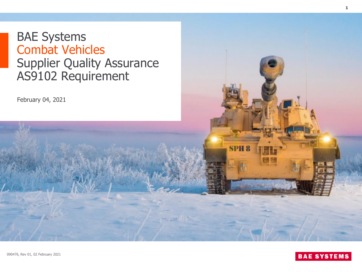# BAE Systems Combat Vehicles



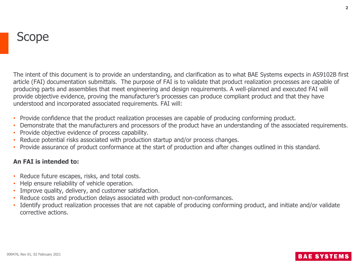The intent of this document is to provide an understanding, and clarification as to what BAE Systems expects in AS9102B first article (FAI) documentation submittals. The purpose of FAI is to validate that product realization processes are capable of producing parts and assemblies that meet engineering and design requirements. A well-planned and executed FAI will provide objective evidence, proving the manufacturer's processes can produce compliant product and that they have understood and incorporated associated requirements. FAI will:

- Provide confidence that the product realization processes are capable of producing conforming product.
- Demonstrate that the manufacturers and processors of the product have an understanding of the associated requirements.
- Provide objective evidence of process capability.
- Reduce potential risks associated with production startup and/or process changes.
- Provide assurance of product conformance at the start of production and after changes outlined in this standard.

#### **An FAI is intended to:**

- Reduce future escapes, risks, and total costs.
- Help ensure reliability of vehicle operation.
- Improve quality, delivery, and customer satisfaction.
- Reduce costs and production delays associated with product non-conformances.
- Identify product realization processes that are not capable of producing conforming product, and initiate and/or validate corrective actions.

#### **BAE SYST**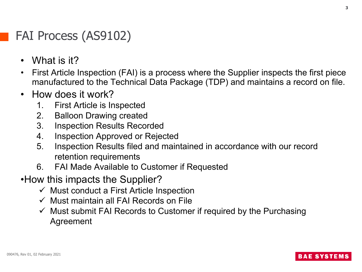## FAI Process (AS9102)

- What is it?
- First Article Inspection (FAI) is a process where the Supplier inspects the first piece manufactured to the Technical Data Package (TDP) and maintains a record on file.
- How does it work?
	- 1. First Article is Inspected
	- 2. Balloon Drawing created
	- 3. Inspection Results Recorded
	- 4. Inspection Approved or Rejected
	- 5. Inspection Results filed and maintained in accordance with our record retention requirements
	- 6. FAI Made Available to Customer if Requested
- •How this impacts the Supplier?
	- $\checkmark$  Must conduct a First Article Inspection
	- $\checkmark$  Must maintain all FAI Records on File
	- $\checkmark$  Must submit FAI Records to Customer if required by the Purchasing Agreement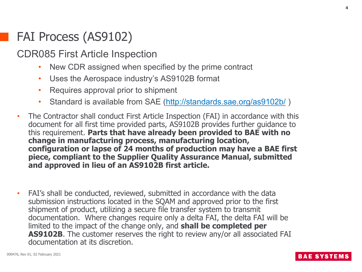### FAI Process (AS9102)

### CDR085 First Article Inspection

- New CDR assigned when specified by the prime contract
- Uses the Aerospace industry's AS9102B format
- Requires approval prior to shipment
- Standard is available from SAE [\(http://standards.sae.org/as9102b/](http://standards.sae.org/as9102b/))
- The Contractor shall conduct First Article Inspection (FAI) in accordance with this document for all first time provided parts, AS9102B provides further guidance to this requirement. **Parts that have already been provided to BAE with no change in manufacturing process, manufacturing location, configuration or lapse of 24 months of production may have a BAE first piece, compliant to the Supplier Quality Assurance Manual, submitted and approved in lieu of an AS9102B first article.**
- FAI's shall be conducted, reviewed, submitted in accordance with the data submission instructions located in the SQAM and approved prior to the first shipment of product, utilizing a secure file transfer system to transmit documentation. Where changes require only a delta FAI, the delta FAI will be limited to the impact of the change only, and **shall be completed per AS9102B**. The customer reserves the right to review any/or all associated FAI documentation at its discretion.

**BAE SYSTEN**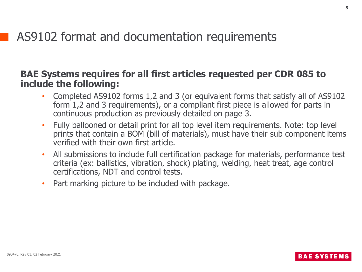### AS9102 format and documentation requirements

### **BAE Systems requires for all first articles requested per CDR 085 to include the following:**

- Completed AS9102 forms 1,2 and 3 (or equivalent forms that satisfy all of AS9102 form 1,2 and 3 requirements), or a compliant first piece is allowed for parts in continuous production as previously detailed on page 3.
- Fully ballooned or detail print for all top level item requirements. Note: top level prints that contain a BOM (bill of materials), must have their sub component items verified with their own first article.
- All submissions to include full certification package for materials, performance test criteria (ex: ballistics, vibration, shock) plating, welding, heat treat, age control certifications, NDT and control tests.
- Part marking picture to be included with package.

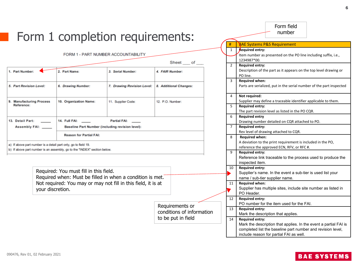|                                                                                                                                            |                                | Form 1 completion requirements:                                         |                                           |                                                                                                                             | #                                                                    | Form field<br>number<br><b>BAE Systems P&amp;S Requirement</b>                                                                                                                                                                             |  |  |
|--------------------------------------------------------------------------------------------------------------------------------------------|--------------------------------|-------------------------------------------------------------------------|-------------------------------------------|-----------------------------------------------------------------------------------------------------------------------------|----------------------------------------------------------------------|--------------------------------------------------------------------------------------------------------------------------------------------------------------------------------------------------------------------------------------------|--|--|
|                                                                                                                                            |                                | FORM 1 - PART NUMBER ACCOUNTABILITY                                     | $\mathbf{1}$<br>2                         | Required entry:<br>Item number as presented on the PO line including suffix, i.e.,<br>1234987*00.<br><b>Required entry:</b> |                                                                      |                                                                                                                                                                                                                                            |  |  |
| 1. Part Number:<br>2. Part Name:<br>3. Serial Number:                                                                                      |                                |                                                                         | 4. FAIR Number:                           |                                                                                                                             | $\overline{3}$                                                       | Description of the part as it appears on the top level drawing or<br>PO line.<br><b>Required when:</b>                                                                                                                                     |  |  |
| 5. Part Revision Level:                                                                                                                    | 6. Drawing Number:             | 7. Drawing Revision Level:<br>8. Additional Changes:                    |                                           |                                                                                                                             | Parts are serialized, put in the serial number of the part inspected |                                                                                                                                                                                                                                            |  |  |
| 9. Manufacturing Process<br>Reference:                                                                                                     | 10. Organization Name:         | 11. Supplier Code:                                                      | 12. P.O. Number:                          | Not required:<br>4<br>5<br><b>Required entry:</b>                                                                           |                                                                      | Supplier may define a traceable identifier applicable to them.                                                                                                                                                                             |  |  |
| 13. Detail Part:<br>Assembly FAI: ____                                                                                                     | 14. Full FAI: The State State  | <b>Partial FAI:</b><br>Baseline Part Number (including revision level): |                                           |                                                                                                                             | 6<br>$\overline{7}$                                                  | The part revision level as listed in the PO CQR.<br><b>Required entry</b><br>Drawing number detailed on CQR attached to PO.<br><b>Required entry:</b>                                                                                      |  |  |
|                                                                                                                                            | <b>Reason for Partial FAI:</b> |                                                                         |                                           |                                                                                                                             | 8                                                                    | Rev level of drawing attached to CQR.<br><b>Required when:</b><br>A deviation to the print requirement is included in the PO,                                                                                                              |  |  |
| a) If above part number is a detail part only, go to field 19.<br>b) If above part number is an assembly, go to the "INDEX" section below. |                                |                                                                         |                                           |                                                                                                                             | 9                                                                    | reference the approved ECN, RFV, or RFC #.<br><b>Required entry:</b><br>Reference link traceable to the process used to produce the<br>inspected item.                                                                                     |  |  |
| Required: You must fill in this field.<br>Required when: Must be filled in when a condition is met.                                        |                                |                                                                         |                                           |                                                                                                                             |                                                                      | <b>Required entry:</b><br>10<br>Supplier's name. In the event a sub-tier is used list your<br>name / sub-tier supplier name.                                                                                                               |  |  |
| Not required: You may or may not fill in this field, it is at<br>your discretion.                                                          |                                |                                                                         | <b>Required when:</b><br>11<br>PO Header. |                                                                                                                             |                                                                      | Supplier has multiple sites, include site number as listed in                                                                                                                                                                              |  |  |
| Requirements or<br>conditions of information                                                                                               |                                |                                                                         |                                           |                                                                                                                             |                                                                      | <b>Required entry:</b><br>PO number for the item used for the FAI.<br><b>Required entry:</b>                                                                                                                                               |  |  |
|                                                                                                                                            |                                |                                                                         | to be put in field                        |                                                                                                                             | 14                                                                   | Mark the description that applies.<br><b>Required entry:</b><br>Mark the description that applies. In the event a partial FAI is<br>completed list the baseline part number and revision level,<br>include reason for partial FAI as well. |  |  |

#### 090476, Rev 01, 02 February 2021

### **BAE SYSTEMS**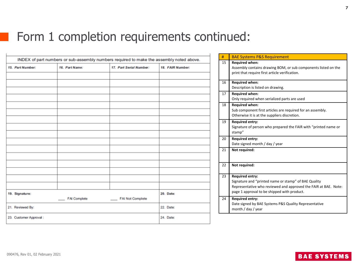## Form 1 completion requirements continued:

|                         | INDEX of part numbers or sub-assembly numbers required to make the assembly noted above. |                         |                  | # |    | <b>BAE Systems P&amp;S Requirement</b>                                                                                                                                                           |
|-------------------------|------------------------------------------------------------------------------------------|-------------------------|------------------|---|----|--------------------------------------------------------------------------------------------------------------------------------------------------------------------------------------------------|
| 15. Part Number:        | 16. Part Name:                                                                           | 17. Part Serial Number: | 18. FAIR Number: |   | 15 | <b>Required when:</b><br>Assembly contains drawing BOM, or sub components listed on the<br>print that require first article verification.                                                        |
|                         |                                                                                          |                         |                  |   | 16 | <b>Required when:</b><br>Description is listed on drawing.                                                                                                                                       |
|                         |                                                                                          |                         |                  |   | 17 | <b>Required when:</b><br>Only required when serialized parts are used                                                                                                                            |
|                         |                                                                                          |                         |                  |   | 18 | <b>Required when:</b><br>Sub component first articles are required for an assembly.<br>Otherwise it is at the suppliers discretion.                                                              |
|                         |                                                                                          |                         |                  |   | 19 | <b>Required entry:</b><br>Signature of person who prepared the FAIR with "printed name or<br>stamp"                                                                                              |
|                         |                                                                                          |                         |                  |   | 20 | <b>Required entry:</b><br>Date signed month / day / year                                                                                                                                         |
|                         |                                                                                          |                         |                  |   | 21 | Not required:                                                                                                                                                                                    |
|                         |                                                                                          |                         |                  |   | 22 | Not required:                                                                                                                                                                                    |
| 19. Signature:          |                                                                                          |                         | 20. Date:        |   | 23 | <b>Required entry:</b><br>Signature and "printed name or stamp" of BAE Quality<br>Representative who reviewed and approved the FAIR at BAE. Note:<br>page 1 approval to be shipped with product. |
| 21. Reviewed By:        | FAI Complete                                                                             | FAI Not Complete        | 22. Date:        |   | 24 | <b>Required entry:</b><br>Date signed by BAE Systems P&S Quality Representative                                                                                                                  |
| 23. Customer Approval : |                                                                                          |                         | 24. Date:        |   |    | month / day / year                                                                                                                                                                               |
|                         |                                                                                          |                         |                  |   |    |                                                                                                                                                                                                  |

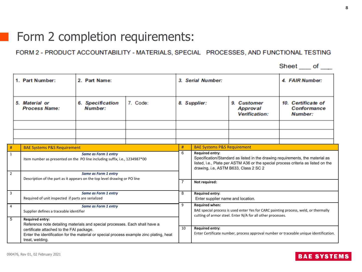### Form 2 completion requirements:

#### FORM 2 - PRODUCT ACCOUNTABILITY - MATERIALS, SPECIAL PROCESSES, AND FUNCTIONAL TESTING

|                                |                                                                                                                                                                                                                                       |                                                                            |          |                |                                                                                                                                                                                                                                       |                                                           | Sheet of                                                                              |  |  |
|--------------------------------|---------------------------------------------------------------------------------------------------------------------------------------------------------------------------------------------------------------------------------------|----------------------------------------------------------------------------|----------|----------------|---------------------------------------------------------------------------------------------------------------------------------------------------------------------------------------------------------------------------------------|-----------------------------------------------------------|---------------------------------------------------------------------------------------|--|--|
|                                | 1. Part Number:<br>2. Part Name:                                                                                                                                                                                                      |                                                                            |          |                | 3. Serial Number:                                                                                                                                                                                                                     | 4. FAIR Number:                                           |                                                                                       |  |  |
|                                | 5. Material or<br><b>Process Name:</b>                                                                                                                                                                                                | <b>6.</b> Specification<br>Number:                                         | 7. Code: | 8. Supplier:   |                                                                                                                                                                                                                                       | 9.<br>Customer<br><b>Approval</b><br><b>Verification:</b> | 10. Certificate of<br><b>Conformance</b><br><b>Number:</b>                            |  |  |
|                                |                                                                                                                                                                                                                                       |                                                                            |          |                |                                                                                                                                                                                                                                       |                                                           |                                                                                       |  |  |
|                                |                                                                                                                                                                                                                                       |                                                                            |          |                |                                                                                                                                                                                                                                       |                                                           |                                                                                       |  |  |
| #                              |                                                                                                                                                                                                                                       |                                                                            |          |                | <b>BAE Systems P&amp;S Requirement</b>                                                                                                                                                                                                |                                                           |                                                                                       |  |  |
| $\mathbf{1}$<br>$\overline{2}$ | <b>BAE Systems P&amp;S Requirement</b><br>Same as Form 1 entry<br>Item number as presented on the PO line including suffix, i.e., 1234987*00<br>Same as Form 1 entry                                                                  |                                                                            |          | #<br>6         | <b>Required entry:</b><br>Specification/Standard as listed in the drawing requirements, the material as<br>listed, i.e., Plate per ASTM A36 or the special process criteria as listed on the<br>drawing, i.e, ASTM B633, Class 2 SC 2 |                                                           |                                                                                       |  |  |
|                                |                                                                                                                                                                                                                                       | Description of the part as it appears on the top level drawing or PO line  |          | $\overline{7}$ | Not required:                                                                                                                                                                                                                         |                                                           |                                                                                       |  |  |
| $\overline{3}$                 |                                                                                                                                                                                                                                       | Same as Form 1 entry<br>Required of unit inspected if parts are serialized |          |                | <b>Required entry:</b><br>Enter supplier name and location.                                                                                                                                                                           |                                                           |                                                                                       |  |  |
| $\overline{4}$                 | Same as Form 1 entry<br>Supplier defines a traceable identifier                                                                                                                                                                       |                                                                            |          |                | <b>Required when:</b><br>BAE special process is used enter Yes for CARC painting process, weld, or thermally<br>cutting of armor steel. Enter N/A for all other processes.                                                            |                                                           |                                                                                       |  |  |
| $\overline{5}$                 | <b>Required entry:</b>                                                                                                                                                                                                                |                                                                            |          |                |                                                                                                                                                                                                                                       |                                                           |                                                                                       |  |  |
|                                | Reference note detailing materials and special processes. Each shall have a<br>certificate attached to the FAI package.<br>Enter the identification for the material or special process example zinc plating, heat<br>treat, welding. |                                                                            |          | 10             | <b>Required entry:</b>                                                                                                                                                                                                                |                                                           | Enter Certificate number, process approval number or traceable unique identification. |  |  |

 $\sim 10$ 

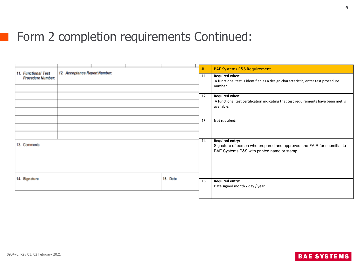# Form 2 completion requirements Continued:

| <b>11. Functional Test</b> | 12. Acceptance Report Number: |          | #  | <b>BAE Systems P&amp;S Requirement</b>                                                                                |  |  |
|----------------------------|-------------------------------|----------|----|-----------------------------------------------------------------------------------------------------------------------|--|--|
| <b>Procedure Number:</b>   |                               |          | 11 | <b>Required when:</b><br>A functional test is identified as a design characteristic, enter test procedure             |  |  |
|                            |                               |          |    | number.                                                                                                               |  |  |
|                            |                               |          | 12 | <b>Required when:</b>                                                                                                 |  |  |
|                            |                               |          |    | A functional test certification indicating that test requirements have been met is<br>available.                      |  |  |
|                            |                               |          |    |                                                                                                                       |  |  |
|                            |                               |          | 13 | Not required:                                                                                                         |  |  |
|                            |                               |          |    |                                                                                                                       |  |  |
|                            |                               |          | 14 | <b>Required entry:</b>                                                                                                |  |  |
| 13. Comments               |                               |          |    | Signature of person who prepared and approved the FAIR for submittal to<br>BAE Systems P&S with printed name or stamp |  |  |
|                            |                               |          |    |                                                                                                                       |  |  |
| 14. Signature              |                               | 15. Date | 15 | <b>Required entry:</b>                                                                                                |  |  |
|                            |                               |          |    | Date signed month / day / year                                                                                        |  |  |
|                            |                               |          |    |                                                                                                                       |  |  |

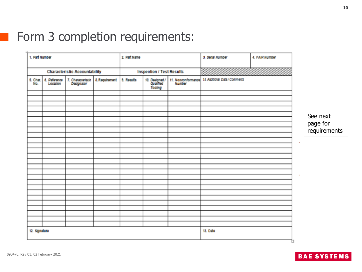# Form 3 completion requirements:

| 1. Part Number  |                          |                                      |                | 2. Part Name |                                        |        | 3. Serial Number                                  | 4. FAIR Number |          |                          |
|-----------------|--------------------------|--------------------------------------|----------------|--------------|----------------------------------------|--------|---------------------------------------------------|----------------|----------|--------------------------|
|                 |                          | <b>Characteristic Accountability</b> |                |              | <b>Inspection / Test Results</b>       |        |                                                   |                |          |                          |
| 5. Char.<br>No. | 6. Reference<br>Location | 7. Characteristic                    | 8. Requirement | 5. Results   | 10. Designed /<br>Qualified<br>Tooling | Number | 11. Nonconformance 14. Additional Data / Comments |                |          |                          |
|                 |                          |                                      |                |              |                                        |        |                                                   |                |          |                          |
|                 |                          |                                      |                |              |                                        |        |                                                   |                |          | See next                 |
|                 |                          |                                      |                |              |                                        |        |                                                   |                |          | page for<br>requirements |
|                 |                          |                                      |                |              |                                        |        |                                                   |                | $\alpha$ |                          |
|                 |                          |                                      |                |              |                                        |        |                                                   |                |          |                          |
|                 |                          |                                      |                |              |                                        |        |                                                   |                | $\alpha$ |                          |
|                 |                          |                                      |                |              |                                        |        |                                                   |                |          |                          |
|                 |                          |                                      |                |              |                                        |        |                                                   |                |          |                          |
|                 |                          |                                      |                |              |                                        |        |                                                   |                |          |                          |
|                 |                          |                                      |                |              |                                        |        |                                                   |                |          |                          |
| 12. Signature   |                          |                                      |                |              |                                        |        | 13. Date                                          |                |          |                          |

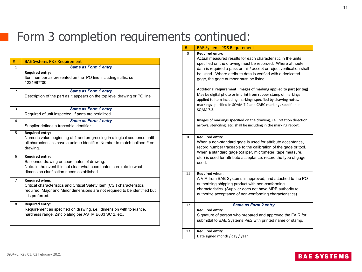# Form 3 completion requirements continued:

| #              | <b>BAE Systems P&amp;S Requirement</b>                                                                                                                                                             |
|----------------|----------------------------------------------------------------------------------------------------------------------------------------------------------------------------------------------------|
| $\mathbf{1}$   | Same as Form 1 entry<br><b>Required entry:</b><br>Item number as presented on the PO line including suffix, i.e.,<br>1234987*00                                                                    |
| $\overline{2}$ | Same as Form 1 entry<br>Description of the part as it appears on the top level drawing or PO line                                                                                                  |
| 3              | Same as Form 1 entry<br>Required of unit inspected if parts are serialized                                                                                                                         |
| 4              | Same as Form 1 entry<br>Supplier defines a traceable identifier                                                                                                                                    |
| 5              | <b>Required entry:</b><br>Numeric value beginning at 1 and progressing in a logical sequence until<br>all characteristics have a unique identifier. Number to match balloon # on<br>drawing.       |
| 6              | <b>Required entry:</b><br>Ballooned drawing or coordinates of drawing.<br>Note: in the event it is not clear what coordinates correlate to what<br>dimension clarification needs established.      |
| $\overline{7}$ | <b>Required when:</b><br>Critical characteristics and Critical Safety Item (CSI) characteristics<br>required. Major and Minor dimensions are not required to be identified but<br>it is preferred. |
| 8              | <b>Required entry:</b><br>Requirement as specified on drawing, i.e., dimension with tolerance,<br>hardness range, Zinc plating per ASTM B633 SC 2, etc.                                            |

#### **BAE Systems P&S Requirement** 9 **Required entry:** Actual measured results for each characteristic in the units specified on the drawing must be recorded. Where attribute data is required a pass or fail / accept or reject verification shall be listed. Where attribute data is verified with a dedicated gage, the gage number must be listed. **Additional requirement: Images of marking applied to part (or tag)**  May be digital photo or imprint from rubber stamp of markings applied to item including markings specified by drawing notes, markings specified in SQAM 7.2 and CARC markings specified in SQAM 7.3. Images of markings specified on the drawing, i.e., rotation direction arrows, stenciling, etc. shall be including in the marking report. 10 **Required entry:** When a non-standard gage is used for attribute acceptance,

record number traceable to the calibration of the gage or tool. When a standard gage (caliper, micrometer, tape measure, etc.) is used for attribute acceptance, record the type of gage used.

#### 11 **Required when:**

A VIR from BAE Systems is approved, and attached to the PO authorizing shipping product with non-conforming characteristics. (Supplier does not have MRB authority to authorize acceptance of non-conforming characteristics)

#### 12 *Same as Form 2 entry* **Required entry:** Signature of person who prepared and approved the FAIR for

submittal to BAE Systems P&S with printed name or stamp.

#### 13 **Required entry:**

Date signed month / day / year

#### **BAE SYSTEMS**